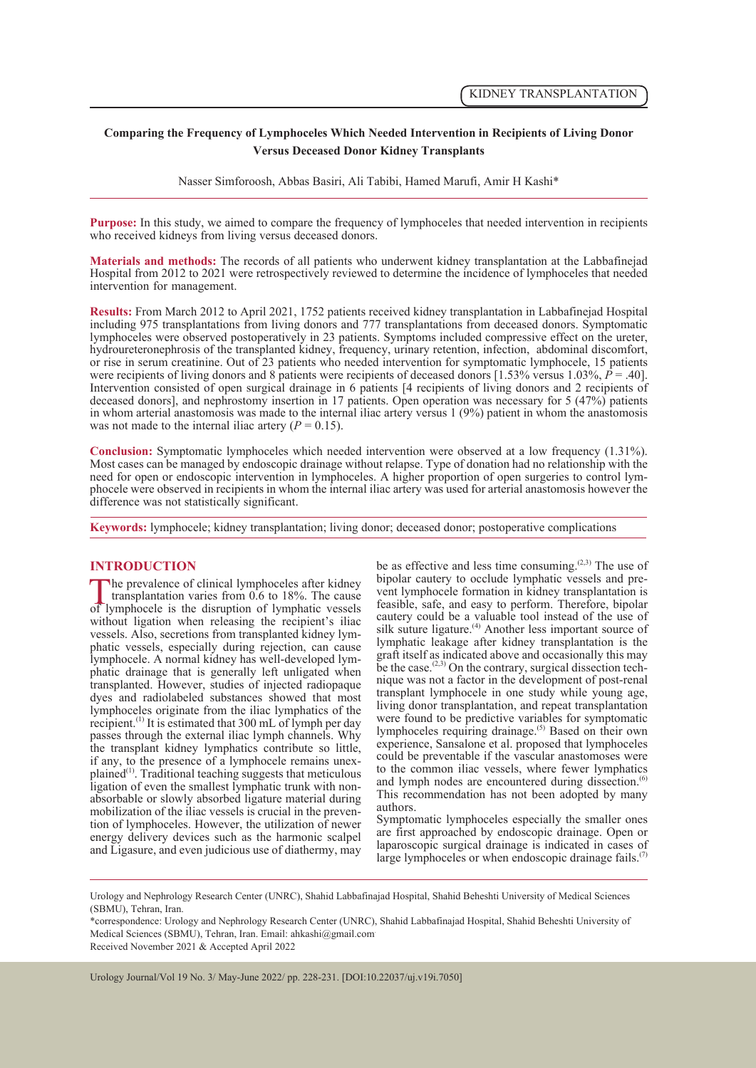## **Comparing the Frequency of Lymphoceles Which Needed Intervention in Recipients of Living Donor Versus Deceased Donor Kidney Transplants**

Nasser Simforoosh, Abbas Basiri, Ali Tabibi, Hamed Marufi, Amir H Kashi\*

**Purpose:** In this study, we aimed to compare the frequency of lymphoceles that needed intervention in recipients who received kidneys from living versus deceased donors.

**Materials and methods:** The records of all patients who underwent kidney transplantation at the Labbafinejad Hospital from 2012 to 2021 were retrospectively reviewed to determine the incidence of lymphoceles that needed intervention for management.

**Results:** From March 2012 to April 2021, 1752 patients received kidney transplantation in Labbafinejad Hospital including 975 transplantations from living donors and 777 transplantations from deceased donors. Symptomatic lymphoceles were observed postoperatively in 23 patients. Symptoms included compressive effect on the ureter, hydroureteronephrosis of the transplanted kidney, frequency, urinary retention, infection, abdominal discomfort, or rise in serum creatinine. Out of 23 patients who needed intervention for symptomatic lymphocele, 15 patients were recipients of living donors and 8 patients were recipients of deceased donors [1.53% versus 1.03%,  $\dot{P} = .40$ ]. Intervention consisted of open surgical drainage in 6 patients [4 recipients of living donors and 2 recipients of deceased donors], and nephrostomy insertion in 17 patients. Open operation was necessary for 5 (47%) patients in whom arterial anastomosis was made to the internal iliac artery versus 1 (9%) patient in whom the anastomosis was not made to the internal iliac artery  $(P = 0.15)$ .

**Conclusion:** Symptomatic lymphoceles which needed intervention were observed at a low frequency (1.31%). Most cases can be managed by endoscopic drainage without relapse. Type of donation had no relationship with the need for open or endoscopic intervention in lymphoceles. A higher proportion of open surgeries to control lymphocele were observed in recipients in whom the internal iliac artery was used for arterial anastomosis however the difference was not statistically significant.

**Keywords:** lymphocele; kidney transplantation; living donor; deceased donor; postoperative complications

## **INTRODUCTION**

The prevalence of clinical lymphoceles after kidney<br>transplantation varies from 0.6 to 18%. The cause<br>of lymphocele is the disruption of lymphatic vessels transplantation varies from 0.6 to 18%. The cause of lymphocele is the disruption of lymphatic vessels without ligation when releasing the recipient's iliac vessels. Also, secretions from transplanted kidney lymphatic vessels, especially during rejection, can cause lymphocele. A normal kidney has well-developed lymphatic drainage that is generally left unligated when transplanted. However, studies of injected radiopaque dyes and radiolabeled substances showed that most lymphoceles originate from the iliac lymphatics of the recipient.<sup>(1)</sup> It is estimated that  $300 \text{ mL of }$  lymph per day passes through the external iliac lymph channels. Why the transplant kidney lymphatics contribute so little, plained<sup>(1)</sup>. Traditional teaching suggests that meticulous ligation of even the smallest lymphatic trunk with nonabsorbable or slowly absorbed ligature material during mobilization of the iliac vessels is crucial in the prevention of lymphoceles. However, the utilization of newer energy delivery devices such as the harmonic scalpel and Ligasure, and even judicious use of diathermy, may

be as effective and less time consuming.<sup>(2,3)</sup> The use of bipolar cautery to occlude lymphatic vessels and prevent lymphocele formation in kidney transplantation is feasible, safe, and easy to perform. Therefore, bipolar cautery could be a valuable tool instead of the use of silk suture ligature.<sup>(4)</sup> Another less important source of lymphatic leakage after kidney transplantation is the graft itself as indicated above and occasionally this may be the case.<sup> $(2,3)$ </sup> On the contrary, surgical dissection tech- nique was not a factor in the development of post-renal transplant lymphocele in one study while young age, living donor transplantation, and repeat transplantation were found to be predictive variables for symptomatic lymphoceles requiring drainage.(5) Based on their own experience, Sansalone et al. proposed that lymphoceles could be preventable if the vascular anastomoses were to the common iliac vessels, where fewer lymphatics and lymph nodes are encountered during dissection.<sup>(6)</sup> This recommendation has not been adopted by many authors.

Symptomatic lymphoceles especially the smaller ones are first approached by endoscopic drainage. Open or laparoscopic surgical drainage is indicated in cases of large lymphoceles or when endoscopic drainage fails. $(7)$ 

\*correspondence: Urology and Nephrology Research Center (UNRC), Shahid Labbafinajad Hospital, Shahid Beheshti University of Medical Sciences (SBMU), Tehran, Iran. Email: ahkashi@gmail.com.

Received November 2021 & Accepted April 2022

Urology Journal/Vol 19 No. 3/ May-June 2022/ pp. 228-231. [DOI:10.22037/uj.v19i.7050]

Urology and Nephrology Research Center (UNRC), Shahid Labbafinajad Hospital, Shahid Beheshti University of Medical Sciences (SBMU), Tehran, Iran.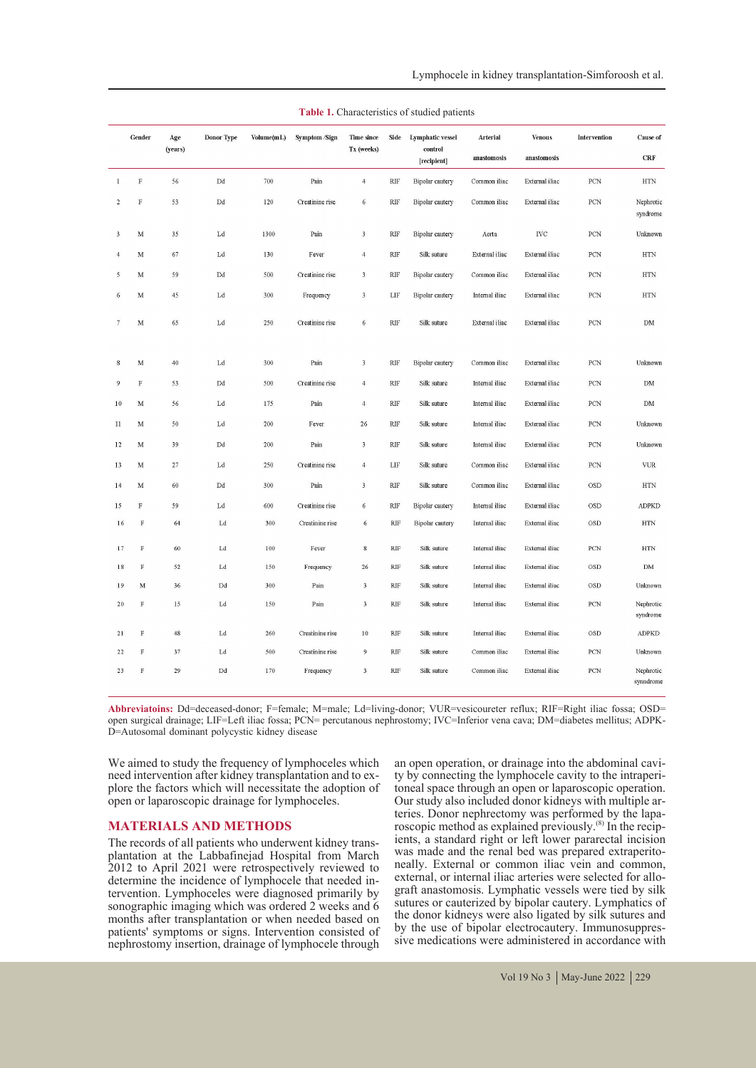|                  | Gender      | Age<br>(years) | Donor Type                 | Volume(mL) | Symptom /Sign   | Time since<br>Tx (weeks) | Side                        | Lymphatic vessel<br>control | Arterial       | <b>Venous</b>     | Intervention   | Cause of               |
|------------------|-------------|----------------|----------------------------|------------|-----------------|--------------------------|-----------------------------|-----------------------------|----------------|-------------------|----------------|------------------------|
|                  |             |                |                            |            |                 |                          |                             | [recipient]                 | anastomosis    | anastomosis       |                | CRF                    |
| $\mathbf{1}$     | $\mathbb F$ | 56             | Dd                         | 700        | Pain            | $\overline{4}$           | RIF                         | <b>Bipolar</b> cautery      | Common iliac   | External iliac    | PCN            | $\operatorname{HTN}$   |
| $\overline{2}$   | $\mathbf F$ | 53             | Dd                         | 120        | Creatinine rise | $\sqrt{6}$               | RIF                         | <b>Bipolar</b> cautery      | Common iliac   | External iliac    | PCN            | Nephrotic<br>syndrome  |
| $\overline{3}$   | $_{\rm M}$  | 35             | Ld                         | 1300       | Pain            | $\overline{\mathbf{3}}$  | RIF                         | <b>Bipolar</b> cautery      | Aorta          | $_{\mathrm{IVC}}$ | PCN            | Unknown                |
| $\overline{4}$   | M           | 67             | Ld                         | 130        | Fever           | $\overline{4}$           | <b>RIF</b>                  | Silk suture                 | External iliac | External iliac    | PCN            | $\operatorname{HTN}$   |
| 5                | $_{\rm M}$  | 59             | Dd                         | 500        | Creatinine rise | $\overline{\mathbf{3}}$  | <b>RIF</b>                  | <b>Bipolar</b> cautery      | Common iliac   | External iliac    | PCN            | $\operatorname{HTN}$   |
| 6                | $_{\rm M}$  | 45             | Ld                         | 300        | Frequency       | $\overline{\mathbf{3}}$  | LIF                         | <b>Bipolar</b> cautery      | Internal iliac | External iliac    | PCN            | <b>HTN</b>             |
| $\boldsymbol{7}$ | $_{\rm M}$  | 65             | Ld                         | 250        | Creatinine rise | $\sqrt{6}$               | RIF                         | Silk suture                 | External iliac | External iliac    | PCN            | ${\rm DM}$             |
| 8                | M           | 40             | Ld                         | 300        | Pain            | $\overline{\mathbf{3}}$  | <b>RIF</b>                  | Bipolar cautery             | Common iliac   | External iliac    | PCN            | Unknown                |
| $\overline{9}$   | $\mathbb F$ | 53             | Dd                         | 500        | Creatinine rise | $\overline{4}$           | RIF                         | Silk suture                 | Internal iliac | External iliac    | PCN            | ${\rm DM}$             |
| $10\,$           | $\mathbf M$ | 56             | Ld                         | 175        | Pain            | $\overline{4}$           | RIF                         | Silk suture                 | Internal iliac | External iliac    | PCN            | ${\rm DM}$             |
| 11               | M           | 50             | Ld                         | 200        | Fever           | 26                       | $\mathbf{RIF}$              | Silk suture                 | Internal iliac | External iliac    | PCN            | Unknown                |
| 12               | $_{\rm M}$  | 39             | Dd                         | 200        | Pain            | $\overline{\mathbf{3}}$  | $\mathbf{RIF}$              | Silk suture                 | Internal iliac | External iliac    | PCN            | Unknown                |
| 13               | $_{\rm M}$  | $27\,$         | Ld                         | 250        | Creatinine rise | $\overline{4}$           | ${\rm LIF}$                 | Silk suture                 | Common iliac   | External iliac    | PCN            | <b>VUR</b>             |
| 14               | $\mathbf M$ | 60             | $\mathop{\rm Dd}\nolimits$ | 300        | Pain            | $\overline{\mathbf{3}}$  | <b>RIF</b>                  | Silk suture                 | Common iliac   | External iliac    | <b>OSD</b>     | <b>HTN</b>             |
| 15               | $\mathbf F$ | 59             | $_{\rm Ld}$                | 600        | Creatinine rise | $\sqrt{6}$               | RIF                         | <b>Bipolar</b> cautery      | Internal iliac | External iliac    | OSD            | <b>ADPKD</b>           |
| 16               | F           | 64             | Ld                         | 300        | Creatinine rise | $\epsilon$               | $\mathbf{RIF}$              | <b>Bipolar</b> cautery      | Internal iliac | External iliac    | $_{\rm OSD}$   | $\operatorname{HTN}$   |
| 17               | $\rm F$     | 60             | Ld                         | 100        | Fever           | $\bf 8$                  | RIF                         | Silk suture                 | Internal iliac | External iliac    | PCN            | <b>HTN</b>             |
| 18               | $\rm F$     | 52             | Ld                         | 150        | Frequency       | 26                       | RIF                         | Silk suture                 | Internal iliac | External iliac    | $_{\rm OSD}$   | ${\rm DM}$             |
| 19               | $_{\rm M}$  | 36             | $\mathop{\rm Dd}\nolimits$ | 300        | Pain            | $\mathbf{3}$             | $\ensuremath{\mathrm{RIF}}$ | Silk suture                 | Internal iliac | External iliac    | <b>OSD</b>     | Unknown                |
| 20               | $\rm F$     | 15             | Ld                         | 150        | Pain            | $\mathbf 3$              | $\mathbf{RIF}$              | Silk suture                 | Internal iliac | External iliac    | PCN            | Nephrotic<br>syndrome  |
| $2\sqrt{1}$      | $\mathbf F$ | $48\,$         | $_{\rm Ld}$                | 260        | Creatinine rise | $10\,$                   | $\ensuremath{\mathrm{RIF}}$ | Silk suture                 | Internal iliac | External iliac    | $_{\rm OSD}$   | <b>ADPKD</b>           |
| 22               | $\mathbf F$ | 37             | $_{\rm Ld}$                | 500        | Creatinine rise | $\boldsymbol{9}$         | $\ensuremath{\mathrm{RIF}}$ | Silk suture                 | Common iliac   | External iliac    | ${\mbox{PCN}}$ | Unknown                |
| 23               | $\mathbf F$ | 29             | Dd                         | 170        | Frequency       | $\overline{\mathbf{3}}$  | $\ensuremath{\mathrm{RIF}}$ | Silk suture                 | Common iliac   | External iliac    | PCN            | Nephrotic<br>synndrome |

| <b>Table 1.</b> Characteristics of studied patients |  |  |  |
|-----------------------------------------------------|--|--|--|
|-----------------------------------------------------|--|--|--|

**Abbreviatoins:** Dd=deceased-donor; F=female; M=male; Ld=living-donor; VUR=vesicoureter reflux; RIF=Right iliac fossa; OSD= open surgical drainage; LIF=Left iliac fossa; PCN= percutanous nephrostomy; IVC=Inferior vena cava; DM=diabetes mellitus; ADPK- D=Autosomal dominant polycystic kidney disease

We aimed to study the frequency of lymphoceles which<br>need intervention after kidney transplantation and to explore the factors which will necessitate the adoption of open or laparoscopic drainage for lymphoceles.

**MATERIALS AND METHODS**<br>The records of all patients who underwent kidney trans-The records of all patients who underwent kidney trans-<br>plantation at the Labbafinejad Hospital from March 2012 to April 2021 were retrospectively reviewed to determine the incidence of lymphocele that needed in- tervention. Lymphoceles were diagnosed primarily by sonographic imaging which was ordered 2 weeks and 6 months after transplantation or when needed based on patients' symptoms or signs. Intervention consisted of nephrostomy insertion, drainage of lymphocele through

an open operation, or drainage into the abdominal cavity by connecting the lymphocele cavity to the intraperitoneal space through an open or laparoscopic operation. Our study also included donor kidneys with multiple arteries. Donor nephrectomy was performed by the lapa-roscopic method as explained previously.<sup>(8)</sup> In the recipients, a standard right or left lower pararectal incision was made and the renal bed was prepared extraperito- neally. External or common iliac vein and common, external, or internal iliac arteries were selected for allo- graft anastomosis. Lymphatic vessels were tied by silk sutures or cauterized by bipolar cautery. Lymphatics of the donor kidneys were also ligated by silk sutures and by the use of bipolar electrocautery. Immunosuppres-<br>sive medications were administered in accordance with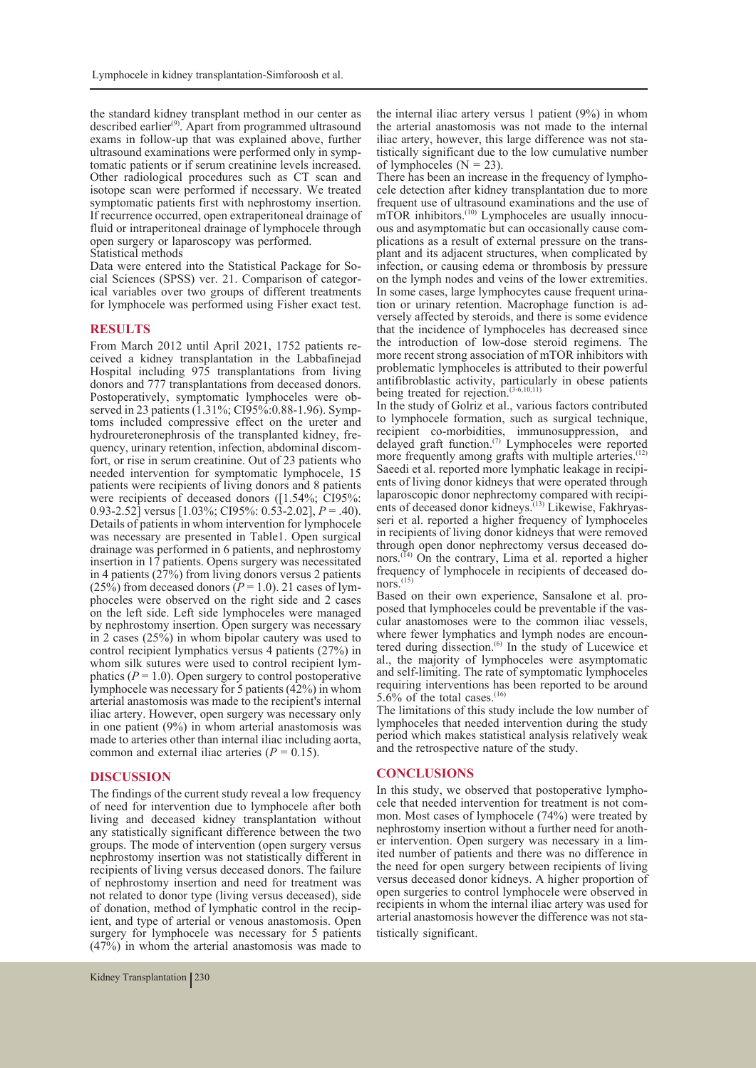the standard kidney transplant method in our center as described earlier(9). Apart from programmed ultrasound exams in follow-up that was explained above, further ultrasound examinations were performed only in symp- tomatic patients or if serum creatinine levels increased. Other radiological procedures such as CT scan and isotope scan were performed if necessary. We treated symptomatic patients first with nephrostomy insertion. If recurrence occurred, open extraperitoneal drainage of fluid or intraperitoneal drainage of lymphocele through open surgery or laparoscopy was performed.

Statistical methods<br>Data were entered into the Statistical Package for Social Sciences (SPSS) ver. 21. Comparison of categor-<br>ical variables over two groups of different treatments for lymphocele was performed using Fisher exact test.

**RESULTS**<br>From March 2012 until April 2021, 1752 patients received a kidney transplantation in the Labbafinejad Hospital including 975 transplantations from living donors and 777 transplantations from deceased donors.<br>Postoperatively, symptomatic lymphoceles were observed in 23 patients (1.31%; CI95%:0.88-1.96). Symptoms included compressive effect on the ureter and hydroureteronephrosis of the transplanted kidney, frequency, urinary retention, infection, abdominal discom-<br>fort, or rise in serum creatinine. Out of 23 patients who needed intervention for symptomatic lymphocele, 15 patients were recipients of living donors and 8 patients were recipients of deceased donors ([1.54%; CI95%: 0.93-2.52] versus [1.03%; CI95%: 0.53-2.02], *P* = .40). Details of patients in whom intervention for lymphocele was necessary are presented in Table1. Open surgical drainage was performed in 6 patients, and nephrostomy insertion in 17 patients. Opens surgery was necessitated in 4 patients (27%) from living donors versus 2 patients (25%) from deceased donors ( $\overline{P}$  = 1.0). 21 cases of lym-<br>phoceles were observed on the right side and 2 cases on the left side. Left side lymphoceles were managed by nephrostomy insertion. Open surgery was necessary in 2 cases (25%) in whom bipolar cautery was used to control recipient lymphatics versus 4 patients (27%) in whom silk sutures were used to control recipient lym-<br>phatics ( $P = 1.0$ ). Open surgery to control postoperative lymphocele was necessary for 5 patients (42%) in whom arterial anastomosis was made to the recipient's internal iliac artery. However, open surgery was necessary only in one patient (9%) in whom arterial anastomosis was made to arteries other than internal iliac including aorta, common and external iliac arteries  $(P = 0.15)$ .

### **DISCUSSION**

The findings of the current study reveal a low frequency of need for intervention due to lymphocele after both living and deceased kidney transplantation without any statistically significant difference between the two groups. The mode of intervention (open surgery versus nephrostomy insertion was not statistically different in recipients of living versus deceased donors. The failure of nephrostomy insertion and need for treatment was not related to donor type (living versus deceased), side of donation, method of lymphatic control in the recipient, and type of arterial or venous anastomosis. Open surgery for lymphocele was necessary for 5 patients (47%) in whom the arterial anastomosis was made to the internal iliac artery versus 1 patient (9%) in whom the arterial anastomosis was not made to the internal iliac artery, however, this large difference was not sta- tistically significant due to the low cumulative number of lymphoceles  $(N = 23)$ .<br>There has been an increase in the frequency of lympho-

cele detection after kidney transplantation due to more frequent use of ultrasound examinations and the use of mTOR inhibitors.<sup>(10)</sup> Lymphoceles are usually innocu-<br>ous and asymptomatic but can occasionally cause com-<br>plications as a result of external pressure on the trans-<br>plant and its adjacent structures, when complicated by infection, or causing edema or thrombosis by pressure on the lymph nodes and veins of the lower extremities.<br>In some cases, large lymphocytes cause frequent urination or urinary retention. Macrophage function is adversely affected by steroids, and there is some evidence that the incidence of lymphoceles has decreased since the introduction of low-dose steroid regimens. The more recent strong association of mTOR inhibitors with problematic lymphoceles is attributed to their powerful antifibroblastic activity, particularly in obese patients being treated for rejection.(3-6,10,11)

In the study of Golriz et al., various factors contributed to lymphocele formation, such as surgical technique, recipient co-morbidities, immunosuppression, and delayed graft function.<sup>(7)</sup> Lymphoceles were reported more frequently among grafts with multiple arteries.<sup>(12)</sup> Saeedi et al. reported more lymphatic leakage in recipients of living donor kidneys that were operated through laparoscopic donor nephrectomy compared with recipients of deceased donor kidneys.<sup>(13)</sup> Likewise, Fakhryas-<br>seri et al. reported a higher frequency of lymphoceles in recipients of living donor kidneys that were removed through open donor nephrectomy versus deceased donors.<sup> $(14)$ </sup> On the contrary, Lima et al. reported a higher frequency of lymphocele in recipients of deceased do-nors.<sup>(15)</sup>

Based on their own experience, Sansalone et al. pro-<br>posed that lymphoceles could be preventable if the vas-<br>cular anastomoses were to the common iliac vessels,<br>where fewer lymphatics and lymph nodes are encounwhere fewer lymphatics and lymph nodes are encoun-<br>tered during dissection.<sup>(6)</sup> In the study of Lucewice et al., the majority of lymphoceles were asymptomatic and self-limiting. The rate of symptomatic lymphoceles requiring interventions has been reported to be around 5.6% of the total cases.<sup>(16)</sup>

The limitations of this study include the low number of lymphoceles that needed intervention during the study period which makes statistical analysis relatively weak and the retrospective nature of the study.

**CONCLUSIONS**<br>In this study, we observed that postoperative lymphocele that needed intervention for treatment is not com-<br>mon. Most cases of lymphocele (74%) were treated by<br>nephrostomy insertion without a further need for another intervention. Open surgery was necessary in a lim-<br>ited number of patients and there was no difference in the need for open surgery between recipients of living versus deceased donor kidneys. A higher proportion of open surgeries to control lymphocele were observed in recipients in whom the internal iliac artery was used for arterial anastomosis however the difference was not statistically significant.